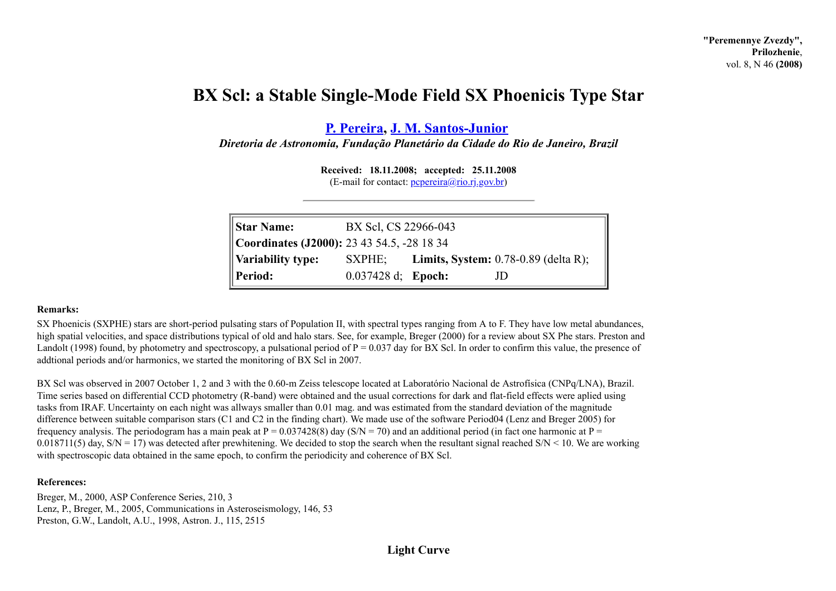## **BX Scl: a Stable Single-Mode Field SX Phoenicis Type Star**

**P. [Pereira](http://www.astronet.ru/builder/preview/www.astronet.ru/db/varstars/author/11666), J. M. [Santos-Junior](http://www.astronet.ru/builder/preview/www.astronet.ru/db/varstars/author/11677)**

*Diretoria de Astronomia, Fundação Planetário da Cidade do Rio de Janeiro, Brazil*

**Received: 18.11.2008; accepted: 25.11.2008**  $(E-mail for contact:  $pcpereira@rio.ri.gov.br$ )$ 

| <b>Star Name:</b>                                 | BX Scl, CS 22966-043  |  |                                               |
|---------------------------------------------------|-----------------------|--|-----------------------------------------------|
| <b>Coordinates (J2000):</b> 23 43 54.5, -28 18 34 |                       |  |                                               |
| Variability type:                                 | SXPHE:                |  | <b>Limits, System:</b> $0.78-0.89$ (delta R); |
| Period:                                           | $0.037428 d$ ; Epoch: |  | JD.                                           |

## **Remarks:**

SX Phoenicis (SXPHE) stars are short-period pulsating stars of Population II, with spectral types ranging from A to F. They have low metal abundances, high spatial velocities, and space distributions typical of old and halo stars. See, for example, Breger (2000) for a review about SX Phe stars. Preston and Landolt (1998) found, by photometry and spectroscopy, a pulsational period of  $P = 0.037$  day for BX Scl. In order to confirm this value, the presence of addtional periods and/or harmonics, we started the monitoring of BX Scl in 2007.

BX Scl was observed in 2007 October 1, 2 and 3 with the 0.60-m Zeiss telescope located at Laboratório Nacional de Astrofísica (CNPq/LNA), Brazil. Time series based on differential CCD photometry (R-band) were obtained and the usual corrections for dark and flat-field effects were aplied using tasks from IRAF. Uncertainty on each night was allways smaller than 0.01 mag. and was estimated from the standard deviation of the magnitude difference between suitable comparison stars (C1 and C2 in the finding chart). We made use of the software Period04 (Lenz and Breger 2005) for frequency analysis. The periodogram has a main peak at  $P = 0.037428(8)$  day (S/N = 70) and an additional period (in fact one harmonic at P = 0.018711(5) day,  $S/N = 17$ ) was detected after prewhitening. We decided to stop the search when the resultant signal reached  $S/N < 10$ . We are working with spectroscopic data obtained in the same epoch, to confirm the periodicity and coherence of BX Scl.

## **References:**

Breger, M., 2000, ASP Conference Series, 210, 3 Lenz, P., Breger, M., 2005, Communications in Asteroseismology, 146, 53 Preston, G.W., Landolt, A.U., 1998, Astron. J., 115, 2515

## **Light Curve**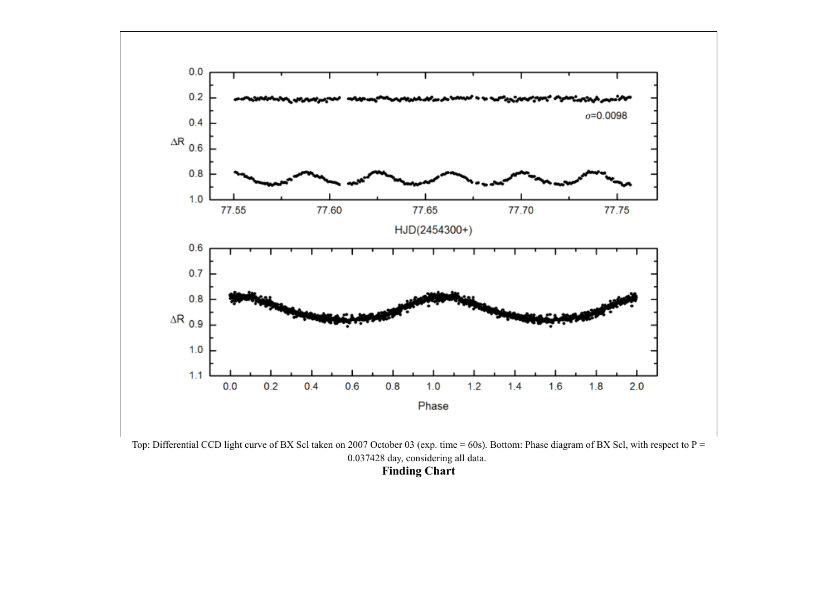

Top: Differential CCD light curve of BX Scl taken on 2007 October 03 (exp. time = 60s). Bottom: Phase diagram of BX Scl, with respect to P = 0.037428 day, considering all data. **Finding Chart**